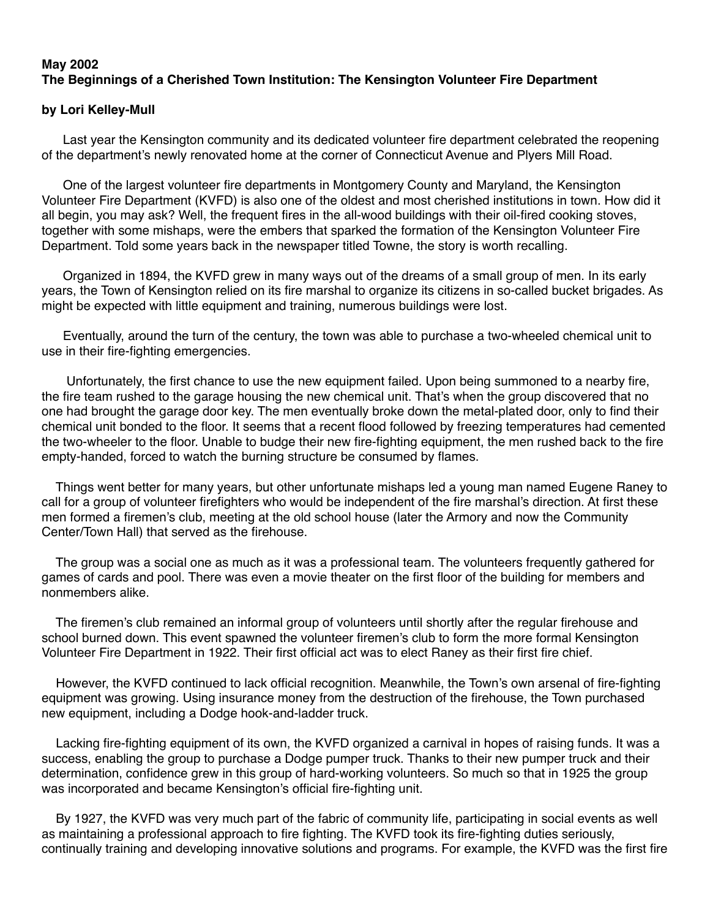## **May 2002 The Beginnings of a Cherished Town Institution: The Kensington Volunteer Fire Department**

## **by Lori Kelley-Mull**

 Last year the Kensington community and its dedicated volunteer fire department celebrated the reopening of the department's newly renovated home at the corner of Connecticut Avenue and Plyers Mill Road.

 One of the largest volunteer fire departments in Montgomery County and Maryland, the Kensington Volunteer Fire Department (KVFD) is also one of the oldest and most cherished institutions in town. How did it all begin, you may ask? Well, the frequent fires in the all-wood buildings with their oil-fired cooking stoves, together with some mishaps, were the embers that sparked the formation of the Kensington Volunteer Fire Department. Told some years back in the newspaper titled Towne, the story is worth recalling.

 Organized in 1894, the KVFD grew in many ways out of the dreams of a small group of men. In its early years, the Town of Kensington relied on its fire marshal to organize its citizens in so-called bucket brigades. As might be expected with little equipment and training, numerous buildings were lost.

 Eventually, around the turn of the century, the town was able to purchase a two-wheeled chemical unit to use in their fire-fighting emergencies.

 Unfortunately, the first chance to use the new equipment failed. Upon being summoned to a nearby fire, the fire team rushed to the garage housing the new chemical unit. That's when the group discovered that no one had brought the garage door key. The men eventually broke down the metal-plated door, only to find their chemical unit bonded to the floor. It seems that a recent flood followed by freezing temperatures had cemented the two-wheeler to the floor. Unable to budge their new fire-fighting equipment, the men rushed back to the fire empty-handed, forced to watch the burning structure be consumed by flames.

 Things went better for many years, but other unfortunate mishaps led a young man named Eugene Raney to call for a group of volunteer firefighters who would be independent of the fire marshal's direction. At first these men formed a firemen's club, meeting at the old school house (later the Armory and now the Community Center/Town Hall) that served as the firehouse.

 The group was a social one as much as it was a professional team. The volunteers frequently gathered for games of cards and pool. There was even a movie theater on the first floor of the building for members and nonmembers alike.

 The firemen's club remained an informal group of volunteers until shortly after the regular firehouse and school burned down. This event spawned the volunteer firemen's club to form the more formal Kensington Volunteer Fire Department in 1922. Their first official act was to elect Raney as their first fire chief.

 However, the KVFD continued to lack official recognition. Meanwhile, the Town's own arsenal of fire-fighting equipment was growing. Using insurance money from the destruction of the firehouse, the Town purchased new equipment, including a Dodge hook-and-ladder truck.

 Lacking fire-fighting equipment of its own, the KVFD organized a carnival in hopes of raising funds. It was a success, enabling the group to purchase a Dodge pumper truck. Thanks to their new pumper truck and their determination, confidence grew in this group of hard-working volunteers. So much so that in 1925 the group was incorporated and became Kensington's official fire-fighting unit.

 By 1927, the KVFD was very much part of the fabric of community life, participating in social events as well as maintaining a professional approach to fire fighting. The KVFD took its fire-fighting duties seriously, continually training and developing innovative solutions and programs. For example, the KVFD was the first fire